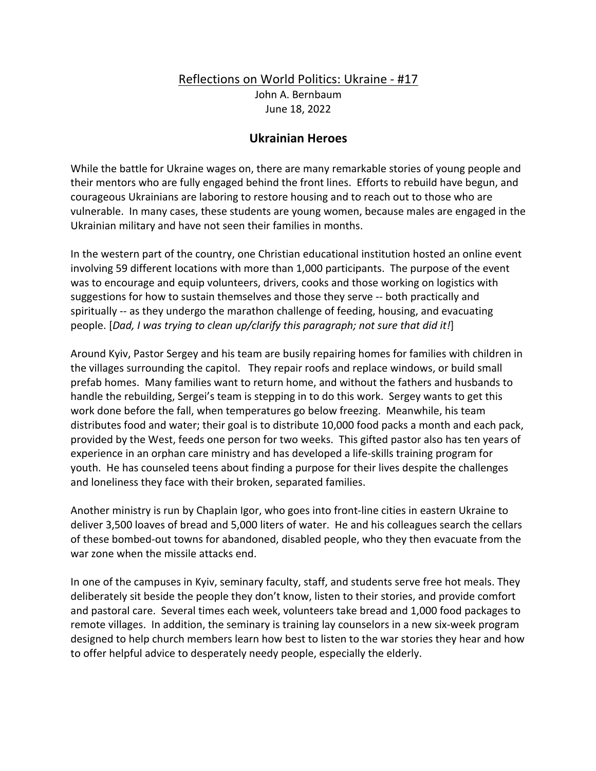## Reflections on World Politics: Ukraine - #17

John A. Bernbaum June 18, 2022

## **Ukrainian Heroes**

While the battle for Ukraine wages on, there are many remarkable stories of young people and their mentors who are fully engaged behind the front lines. Efforts to rebuild have begun, and courageous Ukrainians are laboring to restore housing and to reach out to those who are vulnerable. In many cases, these students are young women, because males are engaged in the Ukrainian military and have not seen their families in months.

In the western part of the country, one Christian educational institution hosted an online event involving 59 different locations with more than 1,000 participants. The purpose of the event was to encourage and equip volunteers, drivers, cooks and those working on logistics with suggestions for how to sustain themselves and those they serve -- both practically and spiritually -- as they undergo the marathon challenge of feeding, housing, and evacuating people. [*Dad, I was trying to clean up/clarify this paragraph; not sure that did it!*]

Around Kyiv, Pastor Sergey and his team are busily repairing homes for families with children in the villages surrounding the capitol. They repair roofs and replace windows, or build small prefab homes. Many families want to return home, and without the fathers and husbands to handle the rebuilding, Sergei's team is stepping in to do this work. Sergey wants to get this work done before the fall, when temperatures go below freezing. Meanwhile, his team distributes food and water; their goal is to distribute 10,000 food packs a month and each pack, provided by the West, feeds one person for two weeks. This gifted pastor also has ten years of experience in an orphan care ministry and has developed a life-skills training program for youth. He has counseled teens about finding a purpose for their lives despite the challenges and loneliness they face with their broken, separated families.

Another ministry is run by Chaplain Igor, who goes into front-line cities in eastern Ukraine to deliver 3,500 loaves of bread and 5,000 liters of water. He and his colleagues search the cellars of these bombed-out towns for abandoned, disabled people, who they then evacuate from the war zone when the missile attacks end.

In one of the campuses in Kyiv, seminary faculty, staff, and students serve free hot meals. They deliberately sit beside the people they don't know, listen to their stories, and provide comfort and pastoral care. Several times each week, volunteers take bread and 1,000 food packages to remote villages. In addition, the seminary is training lay counselors in a new six-week program designed to help church members learn how best to listen to the war stories they hear and how to offer helpful advice to desperately needy people, especially the elderly.